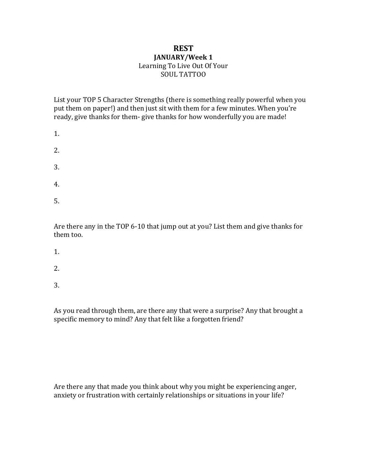## **REST JANUARY/Week 1** Learning To Live Out Of Your

SOUL TATTOO

List your TOP 5 Character Strengths (there is something really powerful when you put them on paper!) and then just sit with them for a few minutes. When you're ready, give thanks for them- give thanks for how wonderfully you are made!

| 1. |  |  |  |
|----|--|--|--|
| 2. |  |  |  |
| 3. |  |  |  |
| 4. |  |  |  |

5.

Are there any in the TOP 6-10 that jump out at you? List them and give thanks for them too.

- 1.
- 
- 2.
- 3.

As you read through them, are there any that were a surprise? Any that brought a specific memory to mind? Any that felt like a forgotten friend?

Are there any that made you think about why you might be experiencing anger, anxiety or frustration with certainly relationships or situations in your life?